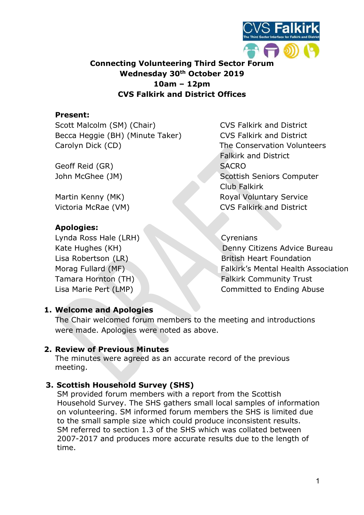

## Connecting Volunteering Third Sector Forum Wednesday 30<sup>th</sup> October 2019 10am – 12pm CVS Falkirk and District Offices

### Present:

Scott Malcolm (SM) (Chair) CVS Falkirk and District Becca Heggie (BH) (Minute Taker) CVS Falkirk and District Carolyn Dick (CD) Carolyn Dick (CD) Carolyn Dick (CD)

Geoff Reid (GR) SACRO

### Apologies:

Lynda Ross Hale (LRH) Cyrenians

Falkirk and District John McGhee (JM) Scottish Seniors Computer Club Falkirk Martin Kenny (MK) Royal Voluntary Service Victoria McRae (VM) CVS Falkirk and District

Kate Hughes (KH) Denny Citizens Advice Bureau Lisa Robertson (LR) British Heart Foundation Morag Fullard (MF) Falkirk's Mental Health Association Tamara Hornton (TH) Falkirk Community Trust Lisa Marie Pert (LMP) and the Committed to Ending Abuse

# 1. Welcome and Apologies

The Chair welcomed forum members to the meeting and introductions were made. Apologies were noted as above.

### 2. Review of Previous Minutes

The minutes were agreed as an accurate record of the previous meeting.

### 3. Scottish Household Survey (SHS)

SM provided forum members with a report from the Scottish Household Survey. The SHS gathers small local samples of information on volunteering. SM informed forum members the SHS is limited due to the small sample size which could produce inconsistent results. SM referred to section 1.3 of the SHS which was collated between 2007-2017 and produces more accurate results due to the length of time.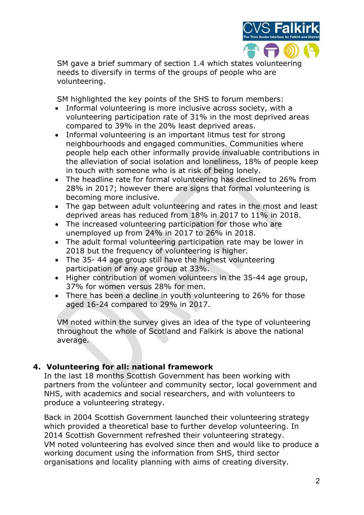

SM gave a brief summary of section 1.4 which states volunteering needs to diversify in terms of the groups of people who are volunteering.

SM highlighted the key points of the SHS to forum members:

- Informal volunteering is more inclusive across society, with a volunteering participation rate of 31% in the most deprived areas compared to 39% in the 20% least deprived areas.
- Informal volunteering is an important litmus test for strong neighbourhoods and engaged communities. Communities where people help each other informally provide invaluable contributions in the alleviation of social isolation and loneliness, 18% of people keep in touch with someone who is at risk of being lonely.
- The headline rate for formal volunteering has declined to 26% from 28% in 2017; however there are signs that formal volunteering is becoming more inclusive.
- The gap between adult volunteering and rates in the most and least deprived areas has reduced from 18% in 2017 to 11% in 2018.
- The increased volunteering participation for those who are unemployed up from 24% in 2017 to 26% in 2018.
- The adult formal volunteering participation rate may be lower in 2018 but the frequency of volunteering is higher.
- The 35- 44 age group still have the highest volunteering participation of any age group at 33%.
- Higher contribution of women volunteers in the 35-44 age group, 37% for women versus 28% for men.
- There has been a decline in youth volunteering to 26% for those aged 16-24 compared to 29% in 2017.

VM noted within the survey gives an idea of the type of volunteering throughout the whole of Scotland and Falkirk is above the national average.

### 4. Volunteering for all: national framework

In the last 18 months Scottish Government has been working with partners from the volunteer and community sector, local government and NHS, with academics and social researchers, and with volunteers to produce a volunteering strategy.

Back in 2004 Scottish Government launched their volunteering strategy which provided a theoretical base to further develop volunteering. In 2014 Scottish Government refreshed their volunteering strategy. VM noted volunteering has evolved since then and would like to produce a working document using the information from SHS, third sector organisations and locality planning with aims of creating diversity.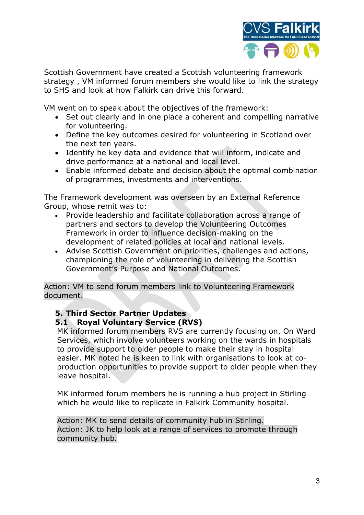

Scottish Government have created a Scottish volunteering framework strategy , VM informed forum members she would like to link the strategy to SHS and look at how Falkirk can drive this forward.

VM went on to speak about the objectives of the framework:

- Set out clearly and in one place a coherent and compelling narrative for volunteering.
- Define the key outcomes desired for volunteering in Scotland over the next ten years.
- Identify he key data and evidence that will inform, indicate and drive performance at a national and local level.
- Enable informed debate and decision about the optimal combination of programmes, investments and interventions.

The Framework development was overseen by an External Reference Group, whose remit was to:

- Provide leadership and facilitate collaboration across a range of partners and sectors to develop the Volunteering Outcomes Framework in order to influence decision-making on the development of related policies at local and national levels.
- Advise Scottish Government on priorities, challenges and actions, championing the role of volunteering in delivering the Scottish Government's Purpose and National Outcomes.

Action: VM to send forum members link to Volunteering Framework document.

#### 5. Third Sector Partner Updates 5.1 Royal Voluntary Service (RVS)

MK informed forum members RVS are currently focusing on, On Ward Services, which involve volunteers working on the wards in hospitals to provide support to older people to make their stay in hospital easier. MK noted he is keen to link with organisations to look at coproduction opportunities to provide support to older people when they leave hospital.

MK informed forum members he is running a hub project in Stirling which he would like to replicate in Falkirk Community hospital.

Action: MK to send details of community hub in Stirling. Action: JK to help look at a range of services to promote through community hub.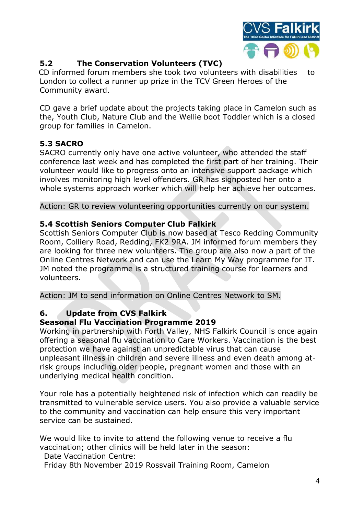

# 5.2 The Conservation Volunteers (TVC)

 CD informed forum members she took two volunteers with disabilities to London to collect a runner up prize in the TCV Green Heroes of the Community award.

CD gave a brief update about the projects taking place in Camelon such as the, Youth Club, Nature Club and the Wellie boot Toddler which is a closed group for families in Camelon.

# 5.3 SACRO

SACRO currently only have one active volunteer, who attended the staff conference last week and has completed the first part of her training. Their volunteer would like to progress onto an intensive support package which involves monitoring high level offenders. GR has signposted her onto a whole systems approach worker which will help her achieve her outcomes.

Action: GR to review volunteering opportunities currently on our system.

## 5.4 Scottish Seniors Computer Club Falkirk

Scottish Seniors Computer Club is now based at Tesco Redding Community Room, Colliery Road, Redding, FK2 9RA. JM informed forum members they are looking for three new volunteers. The group are also now a part of the Online Centres Network and can use the Learn My Way programme for IT. JM noted the programme is a structured training course for learners and volunteers.

Action: JM to send information on Online Centres Network to SM.

# 6. Update from CVS Falkirk

# Seasonal Flu Vaccination Programme 2019

Working in partnership with Forth Valley, NHS Falkirk Council is once again offering a seasonal flu vaccination to Care Workers. Vaccination is the best protection we have against an unpredictable virus that can cause unpleasant illness in children and severe illness and even death among atrisk groups including older people, pregnant women and those with an underlying medical health condition.

Your role has a potentially heightened risk of infection which can readily be transmitted to vulnerable service users. You also provide a valuable service to the community and vaccination can help ensure this very important service can be sustained.

We would like to invite to attend the following venue to receive a flu vaccination; other clinics will be held later in the season:

Date Vaccination Centre:

Friday 8th November 2019 Rossvail Training Room, Camelon